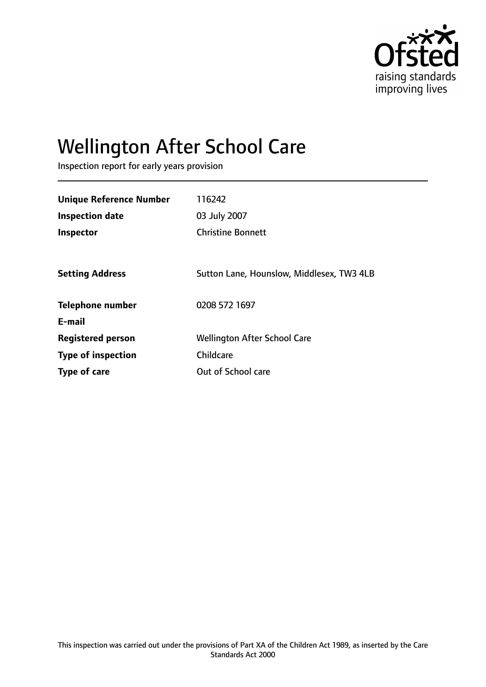

# Wellington After School Care

Inspection report for early years provision

| <b>Unique Reference Number</b> | 116242                                    |
|--------------------------------|-------------------------------------------|
| <b>Inspection date</b>         | 03 July 2007                              |
| Inspector                      | <b>Christine Bonnett</b>                  |
|                                |                                           |
| <b>Setting Address</b>         | Sutton Lane, Hounslow, Middlesex, TW3 4LB |
| <b>Telephone number</b>        | 0208 572 1697                             |
| E-mail                         |                                           |
| <b>Registered person</b>       | <b>Wellington After School Care</b>       |
| <b>Type of inspection</b>      | Childcare                                 |
| <b>Type of care</b>            | Out of School care                        |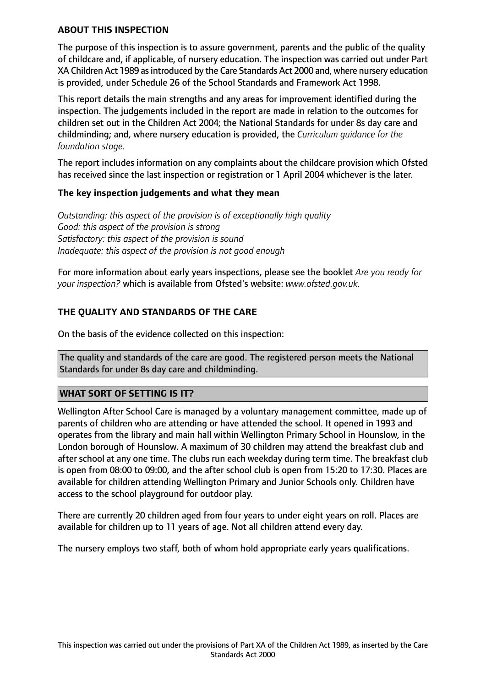#### **ABOUT THIS INSPECTION**

The purpose of this inspection is to assure government, parents and the public of the quality of childcare and, if applicable, of nursery education. The inspection was carried out under Part XA Children Act 1989 as introduced by the Care Standards Act 2000 and, where nursery education is provided, under Schedule 26 of the School Standards and Framework Act 1998.

This report details the main strengths and any areas for improvement identified during the inspection. The judgements included in the report are made in relation to the outcomes for children set out in the Children Act 2004; the National Standards for under 8s day care and childminding; and, where nursery education is provided, the *Curriculum guidance for the foundation stage.*

The report includes information on any complaints about the childcare provision which Ofsted has received since the last inspection or registration or 1 April 2004 whichever is the later.

#### **The key inspection judgements and what they mean**

*Outstanding: this aspect of the provision is of exceptionally high quality Good: this aspect of the provision is strong Satisfactory: this aspect of the provision is sound Inadequate: this aspect of the provision is not good enough*

For more information about early years inspections, please see the booklet *Are you ready for your inspection?* which is available from Ofsted's website: *www.ofsted.gov.uk.*

#### **THE QUALITY AND STANDARDS OF THE CARE**

On the basis of the evidence collected on this inspection:

The quality and standards of the care are good. The registered person meets the National Standards for under 8s day care and childminding.

#### **WHAT SORT OF SETTING IS IT?**

Wellington After School Care is managed by a voluntary management committee, made up of parents of children who are attending or have attended the school. It opened in 1993 and operates from the library and main hall within Wellington Primary School in Hounslow, in the London borough of Hounslow. A maximum of 30 children may attend the breakfast club and after school at any one time. The clubs run each weekday during term time. The breakfast club is open from 08:00 to 09:00, and the after school club is open from 15:20 to 17:30. Places are available for children attending Wellington Primary and Junior Schools only. Children have access to the school playground for outdoor play.

There are currently 20 children aged from four years to under eight years on roll. Places are available for children up to 11 years of age. Not all children attend every day.

The nursery employs two staff, both of whom hold appropriate early years qualifications.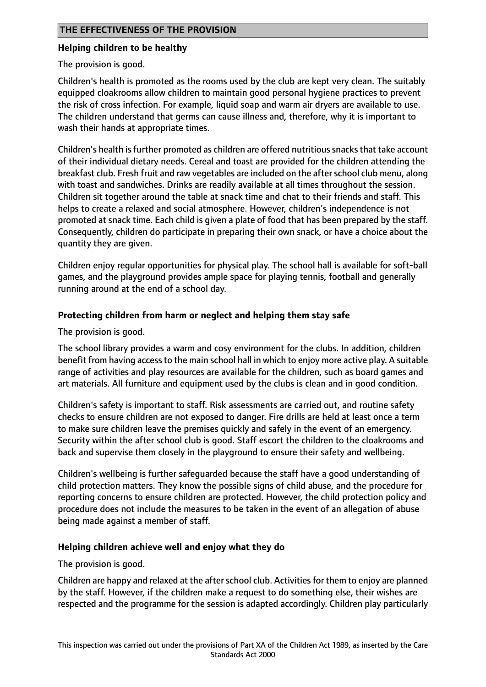## **THE EFFECTIVENESS OF THE PROVISION**

#### **Helping children to be healthy**

The provision is good.

Children's health is promoted as the rooms used by the club are kept very clean. The suitably equipped cloakrooms allow children to maintain good personal hygiene practices to prevent the risk of cross infection. For example, liquid soap and warm air dryers are available to use. The children understand that germs can cause illness and, therefore, why it is important to wash their hands at appropriate times.

Children's health is further promoted as children are offered nutritious snacks that take account of their individual dietary needs. Cereal and toast are provided for the children attending the breakfast club. Fresh fruit and raw vegetables are included on the after school club menu, along with toast and sandwiches. Drinks are readily available at all times throughout the session. Children sit together around the table at snack time and chat to their friends and staff. This helps to create a relaxed and social atmosphere. However, children's independence is not promoted at snack time. Each child is given a plate of food that has been prepared by the staff. Consequently, children do participate in preparing their own snack, or have a choice about the quantity they are given.

Children enjoy regular opportunities for physical play. The school hall is available for soft-ball games, and the playground provides ample space for playing tennis, football and generally running around at the end of a school day.

#### **Protecting children from harm or neglect and helping them stay safe**

The provision is good.

The school library provides a warm and cosy environment for the clubs. In addition, children benefit from having accessto the main school hall in which to enjoy more active play. A suitable range of activities and play resources are available for the children, such as board games and art materials. All furniture and equipment used by the clubs is clean and in good condition.

Children's safety is important to staff. Risk assessments are carried out, and routine safety checks to ensure children are not exposed to danger. Fire drills are held at least once a term to make sure children leave the premises quickly and safely in the event of an emergency. Security within the after school club is good. Staff escort the children to the cloakrooms and back and supervise them closely in the playground to ensure their safety and wellbeing.

Children's wellbeing is further safeguarded because the staff have a good understanding of child protection matters. They know the possible signs of child abuse, and the procedure for reporting concerns to ensure children are protected. However, the child protection policy and procedure does not include the measures to be taken in the event of an allegation of abuse being made against a member of staff.

#### **Helping children achieve well and enjoy what they do**

The provision is good.

Children are happy and relaxed at the after school club. Activities for them to enjoy are planned by the staff. However, if the children make a request to do something else, their wishes are respected and the programme for the session is adapted accordingly. Children play particularly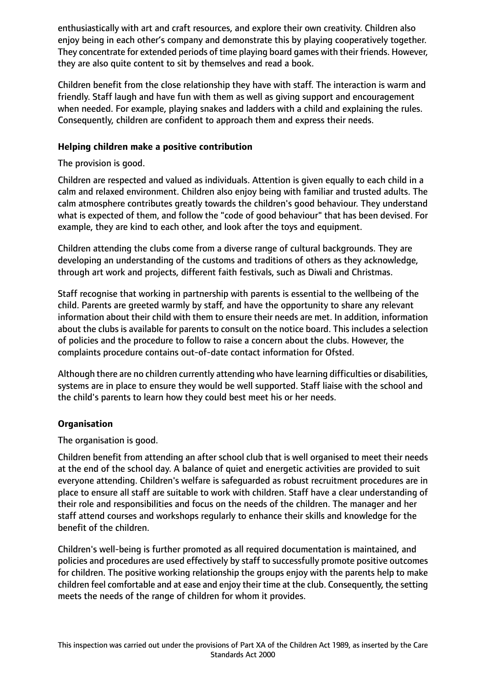enthusiastically with art and craft resources, and explore their own creativity. Children also enjoy being in each other's company and demonstrate this by playing cooperatively together. They concentrate for extended periods of time playing board games with their friends. However, they are also quite content to sit by themselves and read a book.

Children benefit from the close relationship they have with staff. The interaction is warm and friendly. Staff laugh and have fun with them as well as giving support and encouragement when needed. For example, playing snakes and ladders with a child and explaining the rules. Consequently, children are confident to approach them and express their needs.

## **Helping children make a positive contribution**

The provision is good.

Children are respected and valued as individuals. Attention is given equally to each child in a calm and relaxed environment. Children also enjoy being with familiar and trusted adults. The calm atmosphere contributes greatly towards the children's good behaviour. They understand what is expected of them, and follow the "code of good behaviour" that has been devised. For example, they are kind to each other, and look after the toys and equipment.

Children attending the clubs come from a diverse range of cultural backgrounds. They are developing an understanding of the customs and traditions of others as they acknowledge, through art work and projects, different faith festivals, such as Diwali and Christmas.

Staff recognise that working in partnership with parents is essential to the wellbeing of the child. Parents are greeted warmly by staff, and have the opportunity to share any relevant information about their child with them to ensure their needs are met. In addition, information about the clubs is available for parents to consult on the notice board. This includes a selection of policies and the procedure to follow to raise a concern about the clubs. However, the complaints procedure contains out-of-date contact information for Ofsted.

Although there are no children currently attending who have learning difficulties or disabilities, systems are in place to ensure they would be well supported. Staff liaise with the school and the child's parents to learn how they could best meet his or her needs.

## **Organisation**

The organisation is good.

Children benefit from attending an after school club that is well organised to meet their needs at the end of the school day. A balance of quiet and energetic activities are provided to suit everyone attending. Children's welfare is safeguarded as robust recruitment procedures are in place to ensure all staff are suitable to work with children. Staff have a clear understanding of their role and responsibilities and focus on the needs of the children. The manager and her staff attend courses and workshops regularly to enhance their skills and knowledge for the benefit of the children.

Children's well-being is further promoted as all required documentation is maintained, and policies and procedures are used effectively by staff to successfully promote positive outcomes for children. The positive working relationship the groups enjoy with the parents help to make children feel comfortable and at ease and enjoy their time at the club. Consequently, the setting meets the needs of the range of children for whom it provides.